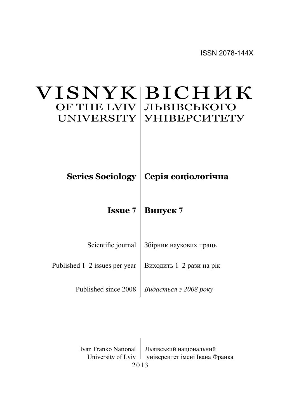### BICHMK ЛЬВІВСЬКОГО **YHIBEPCHTETY** VISNYK OF THE LVIV UNIVERSITY

 $\bf{Series~Sociology} \mid \bf{Cepi}$ я соціологічна

**Issue 7** | Випуск 7

| Scientific journal   Збірник наукових праць |
|---------------------------------------------|
|                                             |

Published 1–2 issues per year | Виходить 1–2 рази на рік

Published since 2008 | Видається з 2008 року

2013 Ivan Franko National | Львівський національний University of Lviv | університет імені Івана Франка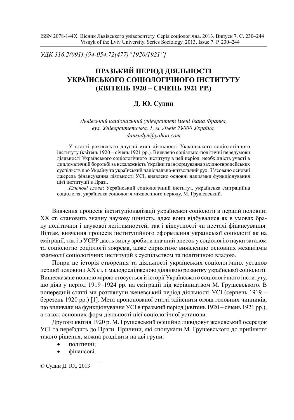*ɍȾɄ 316.2(091):[94-054.72(477)"1920/1921"]*

# ПРАЗЬКИЙ ПЕРІОД ДІЯЛЬНОСТІ УКРАЇНСЬКОГО СОЦІОЛОГІЧНОГО ІНСТИТУТУ **(ɄȼȱɌȿɇɖ 1920 – ɋȱɑȿɇɖ 1921 ɊɊ.)**

## **Д. Ю. Судин**

*Ʌɶɜɿɜɫɶɤɢɣ ɧɚɰɿɨɧɚɥɶɧɢɣ ɭɧɿɜɟɪɫɢɬɟɬ ɿɦɟɧɿ ȱɜɚɧɚ Ɏɪɚɧɤɚ,*  $g_{VJ}$ . Університетська, 1, м. Львів 79000 Україна, *dansudyn@yahoo.com*

У статті розглянуто другий етап діяльності Українського соціологічного інституту (квітень 1920 – січень 1921 pp.). Виявлено соціально-політичні передумови діяльності Українського соціологічного інституту в цей період: необхідність участі в дипломатичній боротьбі за незалежність України та інформування західноєвропейських суспільств про Україну та український національно-визвольний рух. З'ясовано основні джерела фінансування діяльності УСІ, виявлено основні напрямки функціонування цієї інституції в Празі.

Ключові слова: Український соціологічний інститут, українська еміграційна соціологія, українська соціологія міжвоєнного періоду, М. Грушевський.

Вивчення процесів інституціоналізації української соціології в першій половині XX ст. становить значну наукову цінність, адже вони відбувалися як в умовах браку політичної і наукової легітимностей, так і відсутності чи нестачі фінансування. Відтак, вивчення процесів інституційного оформлення української соціології як на еміграції, так і в УСРР дасть змогу зробити значний внесок у соціологію науки загалом та соціологію соціології зокрема, адже сприятиме виявленню основних механізмів взаємодії соціологічних інституцій з суспільством та політичною владою.

Попри це історія створення та діяльності українських соціологічних установ першої половини XX ст. є малодослідженою ділянкою розвитку української соціології. Вищесказане повною мірою стосується й історії Українського соціологічного інституту, що діяв у період 1919–1924 рр. на еміграції під керівництвом М. Грушевського. В попередній статті ми розглянули женевський період діяльності УСІ (серпень 1919 – березень 1920 pp.) [1]. Мета пропонованої статті здійснити огляд головних чинників, що впливали на функціонування УСІ в празький період (квітень 1920 – січень 1921 рр.), а також основних форм діяльності цієї соціологічної установи.

Другого квітня 1920 р. М. Грушевський офіційно ліквідовує женевський осередок УСІ та переїздить до Праги. Причини, які спонукали М. Грушевського до прийняття такого рішення, можна розділити на дві групи:

- політичні;
- фінансові.

<sup>©</sup> Судин Д. Ю., 2013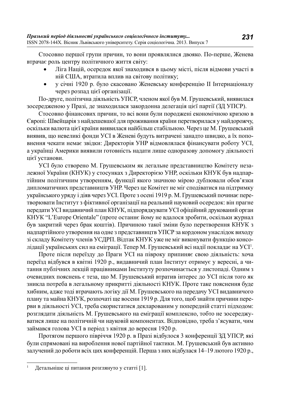Стосовно першої групи причин, то вони проявлялися двояко. По-перше, Женева втрачає роль центру політичного життя світу:

- Ліга Націй, осередок якої знаходився в цьому місті, після відмови участі в ній США, втратила вплив на світову політику;
- у січні 1920 р. було скасовано Женевську конференцію II Інтернаціоналу через розпад цієї організації.

По-друге, політична діяльність УПСР, членом якої був М. Грушевський, виявилася зосерелженою у Празі, ле знахолилася закорлонна лелегація цієї партії (ЗД УПСР).

Стосовно фінансових причин, то всі вони були породжені економічною кризою в Європі: Швейцарія з найдешевшої для проживання країни перетворилася у найдорожчу, оскільки валюта цієї країни виявилася найбільш стабільною. Через це М. Грушевський виявив, що невеликі фонди УСІ в Женеві будуть витрачені занадто швидко, а їх поповнення чекати немає звідки: Директорія УНР відмовлялася фінансувати роботу УСІ, а українці Америки виявили готовність надати лише одноразову допомогу діяльності цієї установи.

УСІ було створено М. Грушевським як легальне представництво Комітету незалежної України (КНУК) у стосунках з Директорією УНР, оскільки КНУК був надпартійним політичним утворенням, функції якого значною мірою дублювали обов'язки дипломатичних представництв УНР. Через це Комітет не міг сподіватися на підтримку українського уряду і діяв через УСІ. Проте з осені 1919 р. М. Грушевський починає перетворювати Інститут з фіктивної організації на реальний науковий осередок: він прагне передати УСІ видавничий план КНУК, підпорядкувати УСІ офіційний друкований орган КНУК "L'Europe Orientale" (проте останнє йому не вдалося зробити, оскільки журнал був закритий через брак коштів). Причиною такої зміни було перетворення КНУК з надпартійного утворення на одне з представництв УПСР за кордоном унаслідок виходу зі складу Комітету членів УСДРП. Відтак КНУК уже не міг виконувати функцію консолідації українських сил на еміграції. Тепер М. Грушевський всі надії покладає на УСІ<sup>1</sup>.

Проте після переїзду до Праги УСІ на півроку припиняє свою діяльність: хоча переїзд відбувся в квітні 1920 р., видавничий план Інститут отримує у вересні, а читання публічних лекцій працівниками Інституту розпочинається у листопаді. Одним з очевидних пояснень є теза, що М. Грушевський втратив інтерес до УСІ після того як зникла потреба в легальному прикритті діяльності КНУК. Проте таке пояснення буде хибним, адже тоді втрачають логіку дії М. Грушевського на передачу УСІ видавничого плану та майна КНУК, розпочаті ще восени 1919 р. Для того, щоб знайти причини перерви в діяльності УСІ, треба скористатися декларованим у попередній статті підходом: розглядати діяльність М. Грушевського на еміграції комплексно, тобто не зосереджуватися лише на політичній чи науковій компонентах. Відповідно, треба з'ясувати, чим займався голова УСІ в період з квітня до вересня 1920 p.

Протягом першого півріччя 1920 р. в Празі відбулося 3 конференції ЗД УПСР, які були спрямовані на вироблення нової партійної тактики. М. Грушевський був активно залучений до роботи всіх цих конференцій. Перша з них відбулася 14–19 лютого 1920 р.,

Детальніше ці питання розглянуто у статті [1].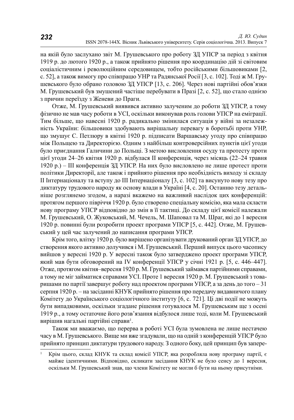на якій було заслухано звіт М. Грушевського про роботу ЗД УПСР за період з квітня 1919 р. до лютого 1920 р., а також прийнято рішення про координацію дій зі світовим соціалістичним і революційним середовищем, тобто російськими більшовиками [2, с. 52], а також вимогу про співпрацю УНР та Радянської Росії [3, с. 102]. Тоді ж М. Грушевського було обрано головою ЗД УПСР [13, с. 206]. Через нові партійні обов'язки М. Грушевський був змушений частіше перебувати в Празі [2, с. 52], що стало однією з причин переїзду з Женеви до Праги.

Отже, М. Грушевський виявився активно залученим до роботи ЗД УПСР, а тому фізично не мав часу роботи в УСІ, оскільки виконував роль голови УПСР на еміграції. Тим більше, що навесні 1920 р. радикально змінилася ситуація у війні за незалежність України: більшовики здобувають вирішальну перевагу в боротьбі проти УНР, що змушує С. Петлюру в квітні 1920 р. підписати Варшавську угоду про співпрацю між Польщею та Директорією. Одним з найбільш контроверсійних пунктів цієї угоди було приєднання Галичини до Польщі. З метою висловлення осуду та протесту проти цієї угоди 24–26 квітня 1920 р. відбулася II конференція, через місяць (22–24 травня 1920 р.) – Ш конференція ЗД УПСР. На них було висловлено не лише протест проти політики Директорії, але також і прийнято рішення про необхідність виходу зі складу II Інтернаціоналу та вступу до III Інтернаціоналу [3, с. 102] та висунуто нову тезу про диктатуру трудового народу як основу влади в Україні [4, с. 20]. Останню тезу детальніше розглянемо згодом, а наразі вкажемо на важливий наслідок цих конференцій: протягом першого півріччя 1920 р. було створено спеціальну комісію, яка мала скласти нову програму УПСР відповідно до змін в її тактиці. До складу цієї комісії належали М. Грушевський, О. Жуковський, М. Чечель, М. Шаповал та М. Шраг, які до 1 вересня 1920 р. повинні були розробити проект програми УПСР [5, с. 442]. Отже, М. Грушевський у цей час залучений до написання програми УПСР.

Крім того, влітку 1920 р. було вирішено організувати друкований орган ЗД УПСР, до створення якого активно долучився і М. Грушевський. Перший випуск цього часопису вийшов у вересні 1920 р. У вересні також було затверджено проект програми УПСР, який мав бути обговорений на IV конференції УПСР у січні 1921 р. [5, с. 446–447]. Отже, протягом квітня-вересня 1920 р. М. Грушевський займався партійними справами, а тому не міг займатися справами УСІ. Проте 1 вересня 1920 р. М. Грушевський з товаришами по партії завершує роботу над проектом програми УПСР, а за день до того – 31 серпня 1920 р. – на засіданні КНУК прийнято рішення про передачу видавничого плану Комітету до Українського соціологічного інституту [6, с. 721]. Ці дві події не можуть бути випадковими, оскільки згадане рішення готувалося М. Грушевським ще з осені 1919 р., а тому остаточне його розв'язання відбулося лише тоді, коли М. Грушевський вирішив нагальні партійні справи<sup>1</sup>.

Також ми вважаємо, що перерва в роботі УСІ була зумовлена не лише нестачею часу в М. Грушевського. Вище ми вже згадували, що на одній з конференцій УПСР було прийнято принцип диктатури трудового народу. З одного боку, цей принцип був запере-

<sup>&</sup>lt;sup>1</sup> Крім шього, склад КНУК та склад комісії УПСР, яка розробляла нову програму партії, є майже ідентичними. Відповідно, скликати засідання КНУК не було сенсу до 1 вересня, оскільки М. Грушевський знав, що члени Комітету не могли б бути на ньому присутніми.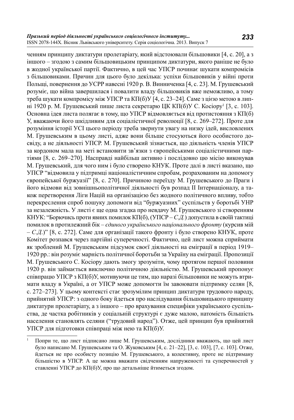ченням принципу диктатури пролетаріату, який відстоювали більшовики [4, с. 20], а з іншого – згодою з самим більшовицьким принципом диктатури, якого раніше не було в жодної української партії. Фактично, в цей час УПСР починає шукати компромісів з більшовиками. Причин для шього було декілька: успіхи більшовиків у війні проти Польщі, повернення до УСРР навесні 1920 р. В. Винниченка [4, с. 23]. М. Грушевський розуміє, що війна завершилася і повалити владу більшовиків вже неможливо, а тому треба шукати компромісу між УПСР та КП(б)У [4, с. 23–24]. Саме з цією метою в липні 1920 р. М. Грушевський пише листа секретарю ЦК КП(б)У С. Косіору<sup>1</sup> [3, с. 103]. Основна ідея листа полягає в тому, що УПСР відмовляється від протистояння з КП(б) У, вважаючи його шкідливим для соціалістичної революції [8, с. 269–272]. Проте для розуміння історії УСІ цього періоду треба звернути увагу на низку ідей, висловлених М. Грушевським в цьому листі, адже вони більше стосуються його особистого досвіду, а не діяльності УПСР. М. Грушевський зізнається, що діяльність членів УПСР за кордоном мала на меті встановити зв'язки з європейськими соціалістичними партіями [8, с. 269–270]. Насправді найбільш активно і послідовно цю місію виконував М. Грушевський, для чого ним і було створено КНУК. Проте далі в листі вказано, що УПСР "відмовила у підтримці націоналістичним спробам, розрахованим на допомогу  $\epsilon$ вропейської буржуазії" [8, с. 270]. Причиною переїзду М. Грушевського до Праги і його відмови від зовнішньополітичної діяльності був розпад II Інтернаціоналу, а також перетворення Ліги Націй на організацією без жолного політичного впливу, тобто перекреслення спроб пошуку допомоги від "буржуазних" суспільств у боротьбі УНР за незалежність. У листі є ще одна згадка про невдачу М. Грушевського зі створенням КНУК: "Борючись проти явних помилок КП(б), (УПСР – С.Д.) допустила в своїй тактиці помилок в протилежний бік – *єдиного українського національного фронту* (курсив мій – *С.Д.*)" [8, с. 272]. Саме для організації такого фронту і було створено КНУК, проте Комітет розпався через партійні суперечності. Фактично, цей лист можна сприймати як зроблений М. Грушевським підсумок своєї діяльності на еміграції в період 1919– 1920 рр.: він розуміє марність політичної боротьби за Україну на еміграції. Пропозиції М. Грушевського С. Косіору дають змогу зрозуміти, чому протягом першої половини 1920 р. він займається виключно політичною діяльністю. М. Грушевський пропонує співпрацю УПСР з КП(б)У, мотивуючи це тим, що наразі більшовики не можуть втримати владу в Україні, а от УПСР може допомогти їм завоювати підтримку селян [8, с. 272–273]. У цьому контексті стає зрозумілим принцип диктатури трудового народу, прийнятий УПСР: з одного боку йдеться про наслідування більшовицького принципу диктатури пролетаріату, а з іншого – про врахування специфіки українського суспільства, де частка робітників у соціальній структурі є дуже малою, натомість більшість населення становлять селяни ("трудовий народ"). Отже, цей принцип був прийнятий УПСР для підготовки співпраці між нею та КП(б)У.

Попри те, що лист підписано лише М. Грушевським, дослідники вважають, що цей лист було написано М. Грушевським та О. Жуковським [4, с. 21–22], [3, с. 103], [7, с. 103]. Отже, йдеться не про особисту позицію М. Грушевського, а колективну, проте не підтриману більшістю в УПСР. А це можна вважати свідченням напруженості та суперечностей у ставленні УПСР до КП(б)У, про що детальніше йтиметься згодом.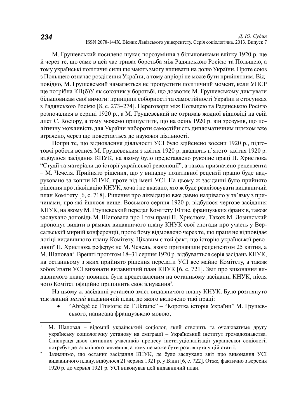М. Грушевський посилено шукає порозуміння з більшовиками влітку 1920 р. ще й через те, що саме в цей час триває боротьба між Радянською Росією та Польщею, а тому українські політичні сили ще мають змогу впливати на долю України. Проте союз з Польщею означає розділення України, а тому апріорі не може бути прийнятним. Відповідно, М. Грушевський намагається не пропустити політичний момент, коли УПСР ще потрібна КП(б)У як союзник у боротьбі, що дозволяє М. Грушевському диктувати більшовикам свої вимоги: принципи соборності та самостійності України в стосунках з Радянською Росією [8, с. 273–274]. Переговори між Польщею та Радянською Росією розпочалися в серпні 1920 р., а М. Грушевський не отримав жодної відповіді на свій лист С. Косіору, а тому можемо припустити, що на осінь 1920 р. він зрозумів, що політичну можливість для України вибороти самостійність дипломатичним шляхом вже втрачено, через що повертається до наукової діяльності.

Попри те, що відновлення діяльності УСІ було здійснено восени 1920 р., підготовчі роботи велися М. Грушевським з квітня 1920 р. двадцять п'ятого квітня 1920 р. відбулося засідання КНУК, на якому було представлено рукопис праці П. Христюка "Студії та матеріали до історії української революції", а також призначено рецензента – М. Чечеля. Прийнято рішення, що у випадку позитивної рецензії працю буде надруковано за кошти КНУК, проте від імені УСІ. На цьому ж засіданні було прийнято рішення про ліквідацію КНУК, хоча і не вказано, хто ж буде реалізовувати видавничий план Комітету [6, с. 718]. Рішення про ліквідацію вже давно назрівало у зв'язку з причинами, про які йшлося вище. Восьмого серпня 1920 р. відбулося чергове засідання КНУК, на якому М. Грушевський передає Комітету 10 тис. французьких франків, також заслухано доповідь М. Шаповала про І том праці П. Христюка. Також М. Лозинський пропонує видати в рамках видавничого плану КНУК свої спогади про участь у Версальській мирній конференції, проте йому відмовлено через те, що праця не відповідає логіці видавничого плану Комітету. Цікавим є той факт, що історію української революції П. Христюка реферує не М. Чечель, якого призначили рецензентом 25 квітня, а М. Шаповал<sup>і</sup>. Врешті протягом 18–31 серпня 1920 р. відбувається серія засідань КНУК, на останньому з яких прийнято рішення передати УСІ все майно Комітету, а також зобов'язати УСІ виконати видавничий план КНУК [6, с. 721]. Звіт про виконання видавничого плану повинен бути представленим на останньому засіданні КНУК, після чого Комітет офіційно припинить своє існування<sup>2</sup>.

На цьому ж засіданні усталено зміст видавничого плану КНУК. Було розглянуто так званий малий видавничий план, до якого включено такі праці:

"Abrégé de l'historie de l'Ukraine" – "Коротка історія України" М. Грушевського, написана французькою мовою;

<sup>&</sup>lt;sup>1</sup> М. Шаповал – відомий український соціолог, який створить та очолюватиме другу українську соціологічну установу на еміграції – Український інститут громадознавства. Співпраця двох активних учасників процесу інституціоналізації української соціології потребує детальнішого вивчення, а тому не може бути розглянута у цій статті.

<sup>&</sup>lt;sup>2</sup> Зазначимо, що останнє засідання КНУК, де було заслухано звіт про виконання УСІ видавничого плану, відбулося 21 червня 1921 р. у Відні [6, с. 722]. Отже, фактично з вересня 1920 р. до червня 1921 р. УСІ виконував цей видавничий план.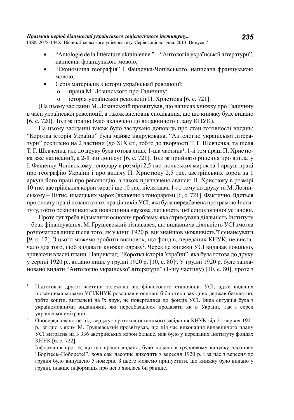- "Antologie de la littérature ukrainienne " "Антологія української літератури", написана французькою мовою;
- "Економічна географія" І. Фещенка-Чопівського, написана французькою MOBOIO:
- Серія матеріалів з історії української революції:
	- о праця М. Лозинського про Галичину;
	- о історія української революції П. Христюка [6, с. 721].

(На шьому засіланні М. Лозинський прозвітував, що написав книжку про Галичину в часи української революції, а також висловив сподівання, що цю книжку буде видано [6, с. 720]. Тоді ж працю було включено до видавничого плану КНУК).

На цьому засіданні також було заслухано доповідь про стан готовності видань: "Коротка історія України" була майже надрукована, "Антологію української літератури" розділено на 2 частини (до XIX ст., тобто до творчості Т. Г. Шевченка, та після Т. Г. Шевченка, але до друку була готова лише 1-ша частина<sup>1</sup>, 1-й том праці П. Христюка вже написаний, а 2-й він дописує [6, с. 721]. Тоді ж прийнято рішення про виплату I. Фещенку-Чопівському гонорару в розмірі 2,5 тис. польських марок за 1 аркуш праці про географію України і про видачу П. Христюку 2,5 тис. австрійських корон за 1 аркуш його праці про революцію, а також призначено аванси: П. Христюку в розмірі 10 тис. австрійських корон зараз і ще 10 тис. після здачі 1-го тому до друку та М. Лозин $c$ ькому – 10 тис. німецьких марок (включно з гонораром) [6, с. 721]. Фактично, йлеться про оплату праці позаштатних працівників УСІ, яка була передбачена програмою Інститүтү, тобто розпочинається повноцінна наукова діяльність цієї соціологічної установи.

Проте тут треба відзначити основну проблему, яка стримувала діяльність Інституту – брак фінансування. М. Грушевський зізнавався, що видавнича діяльність УСІ змогла розпочатися лише після того, як у кінці 1920 р. він знайшов можливість її фінансувати [9, с. 12]. З цього можемо зробити висновок, що фондів, переданих КНУК, не вистачало для того, щоб видавати книжки одразу<sup>2</sup>. Через це книжки УСІ видавав повільно, зриваючи власні плани. Наприклад, "Коротка історія України", яка була готова до друку у серпні 1920 р., видано лише у грудні 1920 р. [10, с. 80]<sup>3</sup>. У грудні 1920 р. було заплановано видати "Антологію української літератури" (1-шу частину) [10, с. 80], проте з

Підготовка другої частини залежала від фінансового становища УСІ, адже видання іноземними мовами УСІ/КНУК розсилав в основні бібліотеки західних держав безплатно, тобто кошти, витрачені на їх друк, не поверталися до фондів УСІ. Інша ситуація була з україномовними виданнями, які передбачалося продавати як в Україні, так і серед української еміграції.<br><sup>2</sup> Опосередковано це підтверджує протокол останнього засідання КНУК від 21 червня 1921

р., згідно з яким М. Грушевський прозвітував, що під час виконання видавничого плану УСІ витратив на 3 336 австрійських корон більше, ніж було у переданих Інституту фондах KHYK [6, c. 722].

Інформація про те, що цю працю видано, було подано в грудневому випуску часопису "Борітесь–Поборете!", хоча сам часопис виходить з вересня 1920 р. і за час з вересня до грудня було випущено 5 номерів. З цього можемо припустити, що книжку було видано у грудні, інакше інформація про неї з'явилась би раніше.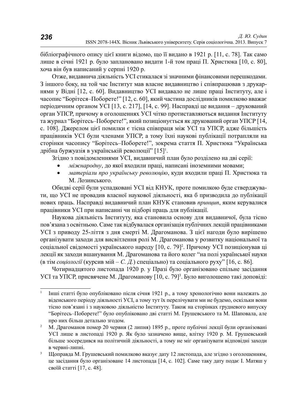бібліографічного опису цієї книги відомо, що її видано в 1921 р. [11, с. 78]. Так само лише в січні 1921 р. було заплановано видати 1-й том праці П. Христюка [10, с. 80], хоча він був написаний у серпні 1920 р.

Отже, видавнича діяльність УСІ стикалася зі значними фінансовими перешкодами. З іншого боку, на той час Інститут мав власне видавництво і співпрацював з друкарнями у Відні [12, с. 60]. Видавництво УСІ видавало не лише праці Інституту, але і часопис "Борітеся-Поборете!" [12, с. 60], який частина дослідників помилково вважає періодичним органом УСІ [13, с. 217], [14, с. 99]. Насправді це видання – друкований орган УПСР, причому в оголошеннях УСІ чітко протиставляються видання Інституту та журнал "Борітесь–Поборете!", який позиціонується як друкований орган УПСР [14, с. 108]. Джерелом цієї помилки є тісна співпраця між УСІ та УПСР, адже більшість працівників УСІ були членами УПСР, а тому їхні наукові публікації потрапляли на сторінки часопису "Борітесь-Поборете!", зокрема стаття П. Христюка "Українська дрібна буржуазія в українській революції" [15]<sup>1</sup>.

Згідно з повідомленнями УСІ, видавничий план було розділено на дві серії:

- *міжнародну*, до якої входили праці, написані іноземними мовами;
- матеріали про українську революцію, куди входили праці П. Христюка та М. Лозинського.

Обидві серії були успадковані УСІ від КНУК, проте помилкою буде стверджувати, що УСІ не провадив власної наукової діяльності, яка б призводила до публікації нових праць. Насправді видавничий план КНУК становив принцип, яким керувалися працівники УСІ при написанні чи підборі праць для публікації.

Наукова діяльність Інституту, яка становила основу для видавничої, була тісно пов'язана з освітньою. Саме так відбувалася організація публічних лекцій працівниками УСІ з приводу 25-ліття з дня смерті М. Драгоманова. З цієї нагоди було вирішено організувати заходи для висвітлення ролі М. Драгоманова у розвитку національної та соціальної свідомості українського народу [10, с. 79]<sup>2</sup>. Причому УСІ позиціонував ці лекції як заходи вшанування М. Драгоманова та його колег "на полі української науки (в тім *соціології* (курсив мій – *С. Д.*) спеціально) та соціального руху" [16, с. 86].

Чотирнадцятого листопада 1920 р. у Празі було організовано спільне засідання УСІ та УПСР, присвячене М. Драгоманову [10, с. 79]<sup>3</sup>. Було виголошено такі доповіді:

<sup>&</sup>lt;sup>1</sup> Інші статті було опубліковано після січня 1921 р., а тому хронологічно вони належать до віденського періоду діяльності УСІ, а тому тут їх перелічувати ми не будемо, оскільки вони тісно пов'язані і з науковою діяльністю Інституту. Також на сторінках грудневого випуску "Борітесь–Поборете!" було опубліковано дві статті М. Грушевського та М. Шаповала, але про них більш детально згодом.

<sup>&</sup>lt;sup>2</sup> М. Драгоманов помер 20 червня (2 липня) 1895 p., проте публічні лекції були організовані УСІ лише в листопаді 1920 р. Як було зазначено вище, влітку 1920 р. М. Грушевський більше зосередився на політичній діяльності, а тому не міг організувати відповідні заходи в червні-липні.

<sup>&</sup>lt;sup>3</sup> Шоправда М. Грушевський помилково вказує дату 12 листопада, але згідно з оголошенням, це засідання було організоване 14 листопада [14, с. 102]. Саме таку дату подає І. Матяш у своїй статті [17, с. 48].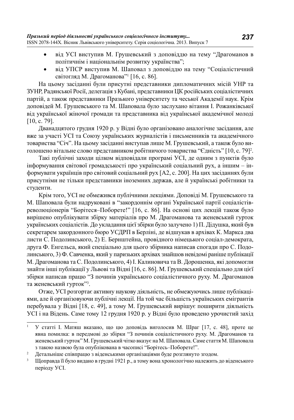- від УСІ виступив М. Грушевський з доповіддю на тему "Драгоманов в політичнім і національнім розвитку українства";
- від УПСР виступив М. Шаповал з доповіддю на тему "Соціалістичний світогляд М. Драгоманова"<sup>1</sup> [16, с. 86].

На цьому засіданні були присутні представники дипломатичних місій УНР та ЗУНР, Радянської Росії, делегація з Кубані, представники ЦК російських соціалістичних партій, а також представники Празького університету та чеської Академії наук. Крім доповілей М. Грушевського та М. Шаповала було заслухано вітання І. Рожанківської від української жіночої громади та представника від української академічної молоді [10, c. 79].

Дванадцятого грудня 1920 р. у Відні було організовано аналогічне засідання, але вже за участі УСІ та Союзу українських журналістів і письменників та академічного товариства "Січ". На цьому засіданні виступав лише М. Грушевський, а також було виголошено вітальне слово представником робітничого товариства "Єдність" [10, с. 79]<sup>2</sup>.

Такі публічні заходи цілком відповідали програмі УСІ, де одним з пунктів було інформування світової громадськості про український соціальний рух, а іншим – інформувати українців про світовий соціальний рух [А2, с. 200]. На цих засіданнях були присутніми не тільки представники іноземних держав, але й українські робітники та студенти.

Крім того, УСІ не обмежився публічними лекціями. Доповіді М. Грушевського та М. Шаповала були надруковані в "закордоннім органі Української партії соціалістівреволюціонерів "Борітеся-Поборете!" [16, с. 86]. На основі цих лекцій також було вирішено опублікувати збірку матеріалів про М. Драгоманова та женевський гурток українських соціалістів. До укладання цієї збірки було залучено 1) П. Дідушка, який був секретарем закордонного бюро УСДРП в Берліні, де відшукав в архівах К. Маркса два листи С. Подолинського, 2) Е. Бернштейна, провідного німецького соціал-демократа, друга Ф. Енгельса, який спеціально для цього збірника написав спогади про С. Подолинського, 3) Ф. Савченка, який у паризьких архівах знайшов невідомі раніше публікації М. Драгоманова та С. Подолинського, 4) І. Калиновича та В. Дорошенка, які допомогли знайти інші публікації у Львові та Відні [16, с. 86]. М. Грушевський спеціально для цієї збірки написав працю "З починів українського соціалістичного руху. М. Драгоманов та женевський гурток"<sup>3</sup>.

Отже, УСІ розгортає активну наукову діяльність, не обмежуючись лише публікаціями, але й організовуючи публічні лекції. На той час більшість українських емігрантів перебувала у Відні [18, с. 49], а тому М. Грушевський вирішує поширити діяльність УСІ і на Відень. Саме тому 12 грудня 1920 р. у Відні було проведено урочистий захід

<sup>&</sup>lt;sup>1</sup> У статті І. Матяш вказано, що цю доповідь виголосив М. Шраг [17, с. 48], проте це явна помилка: в передмові до збірки "З починів соціалістичного руху. М. Драгоманов та женевський гурток" М. Грушевський чітко вказує на М. Шаповала. Саме стаття М. Шаповала з такою назвою була опублікована в часописі "Борітесь-Поборете!".

<sup>&</sup>lt;sup>2</sup> Детальніше співпрацю з віденськими організаціями буде розглянуто згодом.

Шоправда її було видано в грудні 1921 р., а тому вона хронологічно належить до віденського періоду УСI.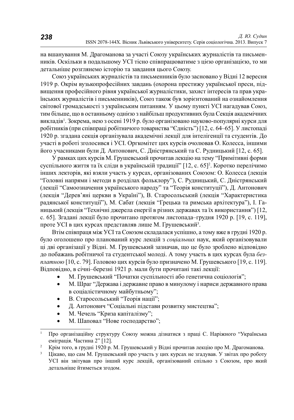на вшанування М. Драгоманова за участі Союзу українських журналістів та письменників. Оскільки в подальшому УСІ тісно співпрацюватиме з цією організацією, то ми детальніше розглянемо історію та завдання цього Союзу.

Союз українських журналістів та письменників було засновано у Відні 12 вересня 1919 р. Окрім вузькопрофесійних завдань (охорона престижу української преси, підвищення професійного рівня української журналістики, захист інтересів та прав українських журналістів і письменників), Союз також був зорієнтований на ознайомлення світової громадськості з українським питанням. У цьому пункті УСІ нагадував Союз, тим більше, що в останньому однією з найбільш продуктивних була Секція академічних викладів'. Зокрема, нею з осені 1919 р. було організовано науково-популярні курси для робітників (при співпраці робітничого товариства "Єдність") [12, с. 64–65]. У листопаді 1920 р. згадана секція організувала академічні лекції для інтелігенції та студентів. До участі в роботі зголосився і УСІ. Оргкомітет цих курсів очолював О. Колесса, іншими його учасниками були Д. Антонович, С. Дністрянський та С. Рудницький [12, с. 65].

У рамках цих курсів М. Грушевський прочитав лекцію на тему "Примітивні форми суспільного життя та їх сліди в українській традиції" [12, с. 65]<sup>2</sup>. Коротко перелічимо інших лекторів, які взяли участь у курсах, організованих Союзом: О. Колесса (лекція "Головні напрями і методи в розділах фольклору"), С. Рудницький, С. Дністрянський (лекції "Самоозначення українського народу" та "Теорія конституції"), Д. Антонович (лекція "Дерев'яні церкви в Україні"), В. Старосольський (лекція "Характеристика радянської конституції"), М. Сабат (лекція "Грецька та римська архітектура"), І. Ганицький (лекція "Технічні джерела енергії в різних державах та їх використання") [12, с. 65]. Зтадані лекції було прочитано протягом листопада-грудня 1920 р. [19, с. 119], проте УСІ в цих курсах представляв лише М. Грушевський<sup>3</sup>.

Втім співпраця між УСІ та Союзом складалася успішно, а тому вже в грудні 1920 р. було оголошено про планований курс лекцій з соціальних наук, який організовували ці дві організації у Відні. М. Грушевський зазначав, що це було зроблено відповідно до побажань робітничої та студентської молоді. А тому участь в цих курсах була безллатною [10, с. 79]. Головою цих курсів було призначено М. Грушевського [19, с. 119]. Відповідно, в січні-березні 1921 р. мали бути прочитані такі лекції:

- М. Грушевський "Початки суспільності або генетична соціологія";
- М. Шраг "Держава і державне право в минулому і нариси державного права в соціалістичному майбутньому";
- В. Старосольський "Теорія нації";
- Д. Антонович "Соціальні підстави розвитку мистецтва";
- М. Чечель "Криза капіталізму";
- М. Шаповал "Нове господарство";

Про організаційну структуру Союзу можна дізнатися з праці С. Наріжного "Українська еміграція. Частина 2" [12].<br><sup>2</sup> Крім того, в грудні 1920 р. М. Грушевський у Відні прочитав лекцію про М. Драгоманова.

<sup>&</sup>lt;sup>3</sup> Цікаво, що сам М. Грушевський про участь у цих курсах не згадував. У звітах про роботу УСІ він звітував про інший курс лекцій, організований спільно з Союзом, про який детальніше йтиметься згодом.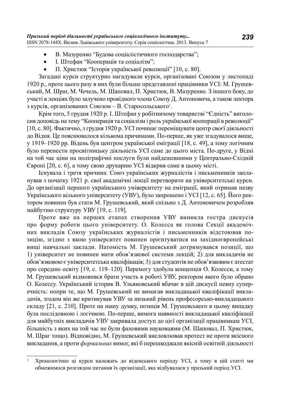- В. Мазуренко "Будова соціалістичного господарства";
- I. Штефан "Кооперація та соціалізм";
- П. Христюк "Історія української революції" [10, с. 80].

Загадані курси структурно нагадували курси, організовані Союзом у листопаді 1920 р., проте цього разу в них були більше представлені працівники УСІ: М. Грушевський, М. Шраг, М. Чечель, М. Шаповал, П. Христюк, В. Мазуренко. З іншого боку, до участі в лекціях було залучено провідного члена Союзу Д. Антоновича, а також лектора з курсів, організованих Союзом – В. Старосольського<sup>1</sup>.

Крім того, 5 грудня 1920 р. І. Штефан у робітничому товаристві "Єдність" виголосив доповідь на тему "Кооперація та соціалізм і роль української кооперації в революції"  $[10, c. 80]$ . Фактично, з грудня 1920 р. УСІ починає переміщувати центр своєї діяльності до Відня. Це пояснювалося кількома причинами. По-перше, як уже згадувалося вище, у 1919–1920 рр. Відень був центром української еміграції [18, с. 49], а тому логічним було перенести просвітницьку діяльність УСІ саме до цього міста. По-друге, у Відні на той час ціни на поліграфічні послуги були найдешевшими у Центрально-Східній Європі [20, с. 6], а тому свою друкарню УСІ відкрив саме в цьому місті.

Існувала і третя причина: Союз українських журналістів і письменників запланував з початку 1921 р. свої академічні лекції перетворити на університетські курси. До організації першого українського університету на еміграції, який отримав назву Українського вільного університету (УВУ), було запрошено і УСІ [12, с. 65]. Його ректором повинен був стати М. Грушевський, який спільно з Д. Антоновичем розробляв майбутню структуру УВУ [19, с. 119].

Проте вже на перших етапах створення УВУ виникла гостра дискусія про форму роботи цього університету. О. Колесса як голова Секції академічних викладів Союзу українських журналістів і письменників відстоював позицію, згідно з якою університет повинен орієнтуватися на західноєвропейські вищі навчальні заклади. Натомість М. Грушевський дотримувався позиції, що 1) університет не повинен мати обов'язкової системи лекцій; 2) для викладачів не обов'язковою є університетська кваліфікація; 3) для студентів не обов'язковим є атестат про середню освіту [19, с. 119–120]. Перемогу здобула концепція О. Колесси, а тому М. Грушевський відмовився брати участь в роботі УВУ, ректором якого було обрано О. Колессу. Український історик В. Ульяновський вбачає в цій дискусії певну суперечність: попри те, що М. Грушевський не вимагав викладацької кваліфікації викладачів, згодом він же критикував УВУ за низький рівень професорсько-викладацького складу [21, с. 210]. Проте на нашу думку, позиція М. Грушевського в цьому випадку була послідовною і логічною. По-перше, вимога наявності викладацької кваліфікації для майбутніх викладачів УВУ закривала доступ до цієї організації працівникам УСІ,  $\ddot{\text{6}}$ ијишеть з яких на той час не були фаховими науковцями (М. Шаповал, П. Христюк, М. Шраг тощо). Відповідно, М. Грушевський висловлював протест не проти якісного викладання, а проти формальних вимог, які б перешкоджали якісній освітній діяльності

Хронологічно ці курси належать до віденського періоду УСІ, а тому в цій статті ми обмежимося розглядом питання їх організації, яка відбувалася у празький період УСІ.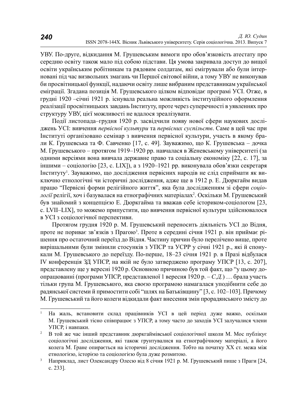УВУ. По-друге, відкидання М. Грушевським вимоги про обов'язковість атестату про середню освіту також мало під собою підстави. Ця умова закривала доступ до вищої освіти українським робітникам та рядовим солдатам, які емігрували або були інтерновані під час визвольних змагань чи Першої світової війни, а тому УВУ не виконував би просвітницької функції, надаючи освіту лише вибраним представникам української еміграції. Згадана позиція М. Грушевського цілком відповідає програмі УСІ. Отже, в грудні 1920 – січні 1921 р. існувала реальна можливість інституційного оформлення реалізації просвітницьких завдань Інституту, проте через суперечності в уявленнях про структуру УВУ, цієї можливості не вдалося зреалізувати.

Події листопада-грудня 1920 р. засвідчили появу нової сфери наукових досліджень УСІ: вивчення первісної культури та первісних суспільств. Саме в цей час при Інституті організовано семінар з вивчення первісної культури, участь в якому брали К. Грушевська та Ф. Савченко [17, с. 49]. Зауважимо, що К. Грушевська – дочка М. Грушевського – протягом 1919–1920 pp. навчалася в Женевському університеті (за одними версіями вона вивчала державне право та соціальну економіку [22, с. 17], за іншими – соціологію [23, с. LIX]), а з 1920–1921 рр. виконувала обов'язки секретаря Iнституту<sup>1</sup>. Зауважимо, що дослідження первісних народів не слід сприймати як виключно етнологічні чи історичні дослідження, адже ще в 1912 р. Е. Дюркгайм видав працю "Первісні форми релігійного життя", яка була дослідженням зі сфери соціо*логії* релігії, хоч і базувалася на етнографічних матеріалах<sup>2</sup>. Оскільки М. Грушевський був знайомий з концепцією Е. Дюркгайма та вважав себе істориком-соціологом [23, с. LVII–LIX], то можемо припустити, що вивчення первісної культури здійснювалося в УСІ з соціологічної перспективи.

Протягом грудня 1920 р. М. Грушевський переносить діяльність УСІ до Відня, проте не пориває зв'язків з Прагою<sup>з</sup>. Проте в середині січня 1921 р. він приймає рішення про остаточний переїзд до Відня. Частину причин було перелічено вище, проте вирішальними були змінили стосунків з УПСР та УСРР у січні 1921 р., які й спонукали М. Грушевського до переїзду. По-перше, 18–23 січня 1921 р. в Празі відбулася IV конференція ЗД УПСР, на якій не було затверджено програму УПСР [13, с. 207], представлену ще у вересні 1920 р. Основною причиною був той факт, що "у цьому доопрацюванні (програми УПСР, представленої 1 вересня 1920 р. – *С.Д.*) ... брала участь тільки група М. Грушевського, яка своєю програмою намагалася уподібнити себе до радянської системи й примостити собі "шлях на Батьківщину" [3, с. 102–103]. Причому М. Грушевський та його колеги відкидали факт внесення змін прорадянського змісту до

<sup>&</sup>lt;sup>1</sup> На жаль, встановити склад працівників УСІ в цей період дуже важко, оскільки М. Грушевський тісно співпрацює з УПСР, а тому часто до заходів УСІ залучалися члени УПСР, і навпаки.<br><sup>2</sup> В той же час інший представник дюркгаймівської соціологічної школи М. Мос публікує

соціологічні дослідження, які також грунтувалися на етнографічному матеріалі, а його колега М. Ґране опирається на історичні дослідження. Тобто на початку XX ст. межа між етнологією, історією та соціологією була дуже розмитою.

<sup>&</sup>lt;sup>3</sup> Наприклад, лист Олександру Олесю від 8 січня 1921 р. М. Грушевський пише з Праги [24, ɫ. 233].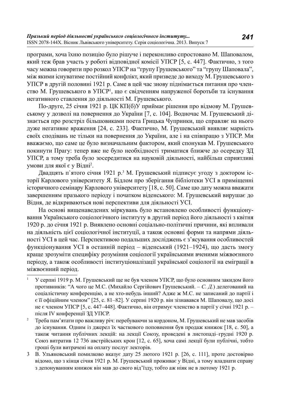програми, хоча їхню позицію було рішуче і переконливо спростовано М. Шаповалом, який теж брав участь у роботі відповідної комісії УПСР [5, с. 447]. Фактично, з того часу можна говорити про розкол УПСР на "групу Грушевського" та "групу Шаповала", між якими існуватиме постійний конфлікт, який призвеле ло вихолу М. Грушевського з УПСР в другій половині 1921 р. Саме в цей час знову піднімається питання про членство М. Грушевського в УПСР<sup>1</sup>, що є свідченням напруженої боротьби та існування негативного ставлення до діяльності М. Грушевського.

 $\Pi$ о-лруге, 25 січня 1921 р. ЩК КП(б)У приймає рішення про вілмову М. Грушевському у дозволі на повернення до України [7, с. 104]. Водночас М. Грушевський дізнається про розстріл більшовиками поета Грицька Чупринки, що справляє на нього дуже негативне враження [24, с. 233]. Фактично, М. Грушевський виявляє марність своїх сподівань не тільки на повернення до України, але і на співпрацю з УПСР. Ми вважаємо, що саме це було визначальним фактором, який спонукав М. Грушевського покинути Прагу: тепер вже не було необхідності триматися ближче до осередку ЗД УПСР, а тому треба було зосередитися на науковій діяльності, найбільш сприятливі умови для якої є у Відні<sup>2</sup>.

Двадцять п'ятого січня 1921 р.<sup>з</sup> М. Грушевський підписує угоду з доктором історії Карлового університету Я. Бідлом про зберігання бібліотеки УСІ в приміщенні  $i$ сторичного семінару Карлового університету [18, с. 50]. Саме цю дату можна вважати завершенням празького періолу і початком віленського: М. Грушевський вирушає ло Відня, де відкриваються нові перспективи для діяльності УСІ.

На основі вищенаведених міркувань було встановлено особливості функціонування Українського соціологічного інституту в другий період його діяльності з квітня 1920 р. до січня 1921 р. Виявлено основні соціально-політичні причини, які впливали на діяльність цієї соціологічної інституції, а також основні форми та напрями діяльності УСІ в цей час. Перспективою подальших досліджень є з'ясування особливостей функціонування УСІ в останній період – віденський (1921–1924), що дасть змогу краще зрозуміти специфіку розуміння соціології українськими вченими міжвоєнного періоду, а також особливості інституціоналізації української соціології на еміграції в міжвоєнний період.

У серпні 1919 р. М. Грушевський ше не був членом УПСР, що було основним закилом його противників: "А чого це М.С. (Михайло Сергійович Грушевський. – С. Д.) делегований на соціалістичну конференцію, а не хто-небудь інший? Адже ж М.С. не записаний до партії і  $\epsilon$  її офіційним членом" [25, с. 81–82]. У серпні 1920 р. він зізнавався М. Шаповалу, що досі не є членом УПСР [5, с. 447–448]. Фактично, він отримує членство в партії у січні 1921 р. – після IV конференції ЗД УПСР.

<sup>&</sup>lt;sup>2</sup> Треба пам'ятати про важливу річ: перебуваючи за кордоном, М. Грушевський не мав засобів до існування. Одним із джерел їх часткового поповнення був продаж книжок [18, с. 50], а також читання публічних лекцій: на лекції Союзу, проведені в листопаді-грудні 1920 р. Союз витратив 12 736 австрійських крон [12, с. 65], хоча самі лекції були публічні, тобто гроші були витрачені на оплату послуг лекторів.

<sup>3</sup> В. Ульяновський помилково вказує дату 25 лютого 1921 р. [26, с. 111], проте достовірно відомо, що з кінця січня 1921 р. М. Грушевський проживає у Відні, а тому владнати справу з депонуванням книжок він мав до свого від 'їзду, тобто аж ніяк не в лютому 1921 р.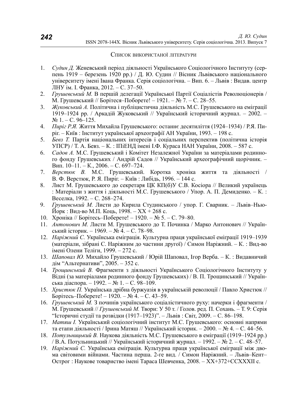#### Список використаної літератури

- 1. *Судин Д.* Женевський період діяльності Українського Соціологічного Інституту (серпень 1919 – березень 1920 рр.) / Д. Ю. Судин // Вісник Львівського національного үніверситету імені Івана Франка. Серія соціологічна. – Вип. 6. – Львів : Видав. центр ЛНУ ім. І. Франка, 2012. – С. 37–50.
- 2. *Грушевський М.* В першій делегації Української Партії Соціалістів Революціонерів / М. Грушевський // Борітеся–Поборете! – 1921. – № 7. – С. 28–55.
- 3. Жуковський А. Політична і публіцистична діяльність М.С. Грушевського на еміграції 1919–1924 рр. / Аркадій Жуковський // Український історичний журнал. – 2002. –  $N_2$  1. – C. 96–125.
- 4. *Пиріг Р.Я.* Життя Михайла Грушевського: останнє десятиліття (1924–1934) / Р.Я. Пиріг. – Київ : Інститут української археографії АН України, 1993. – 198 с.
- 5. *Бевз Т.* Партія національних інтересів і соціальних перспектив (політична історія УПСР) / Т. А. Бевз. – К. : ШіЕНД імені І.Ф. Кураса НАН України, 2008. – 587 с.
- 6. *Садов А.* М.С. Грушевський і Комітет Незалежної України за матеріалами родинного фонду Грушевських / Андрій Садов // Український археографічний щорічник. – Вип. 10–11. – К., 2006. – С. 697–724.
- 7. *Верстюк В.* М.С. Грушевський. Коротка хроніка життя та діяльності / В. Ф. Верстюк, Р. Я. Пиріг. – Київ: Либідь, 1996. – 144 с.
- 8. Лист М. Грушевського до секретаря ЦК КП(б)У С.В. Косіора // Великий українець : Матеріали з життя і діяльності М.С. Грушевського / Упор. А. П. Демиденко. – К.: Веселка, 1992. – С. 268–274.
- 9. *Грушевський М.* Листи до Кирила Студинського / упор. Г. Сварник. Львів-Нью- $\check{M}$ орк : Вид-во М.П. Коць, 1998. –  $XX + 268$  с.
- 10. Хроніка // Борітесь–Поберете! 1920. № 5. С. 79–80.
- 11. *Антонович М. Листи М. Грушевського до Т. Починка / Марко Антонович // Україн*ський історик. – 1969. – № 4. – С. 78–98.
- 12. *Наріжний С. Українська еміграція. Культурна праця української еміграції 1919–1939* (матеріали, зібрані С. Наріжним до частини другої) / Симон Наріжний. – К.: Вид-во імені Олени Теліги, 1999. – 272 с.
- 13. Шаповал Ю. Михайло Грушевський / Юрій Шаповал, Ігор Верба. К.: Видавничий дім "Альтернативи", 2005. – 352 с.
- 14. *Трощинський В.* Фрагменти з діяльності Українського Соціологічного Інституту у Відні (за матеріалами родинного фонду Грушевських) / В. П. Трощинський // Українська діаспора. – 1992. – № 1. – С. 98–109.
- 15. *Христюк П.* Українська дрібна буржуазія в українській революції / Павло Христюк // Борітесь–Поберете! – 1920. – № 4. – С. 43–59.
- 16. *Грушевський М*. З починів українського соціалістичного руху: начерки і фрагменти / М. Грушевський // *Грушевський М.* Твори: У 50 т. / Голов. ред. П. Сохань. – Т. 9: Серія "Історичні студії та розвідки  $(1917–1923)$ ". – Львів: Світ, 2009. – С. 86–198.
- 17. *Матяш I. Український соціологічний інститут М.С. Грушевського: основні напрями* та етапи діяльності / Ірина Матяш // Український історик. – 2000. – № 4. – С. 44–56.
- 18. *Потульницький В.* Наукова діяльність М.С. Грушевського в еміграції (1919–1924 рр.) / В.А. Потульницький // Український історичний журнал. – 1992. – № 2. – С. 48–57.
- 19. *Наріжний С.* Українська еміграція. Культурна праця української еміграції між двома світовими війнами. Частина перша. 2-ге вид. / Симон Наріжний. – Львів–Кент– Острог : Наукове товариство імені Тараса Шевченка, 2008. – XX+372+CCXXXII с.